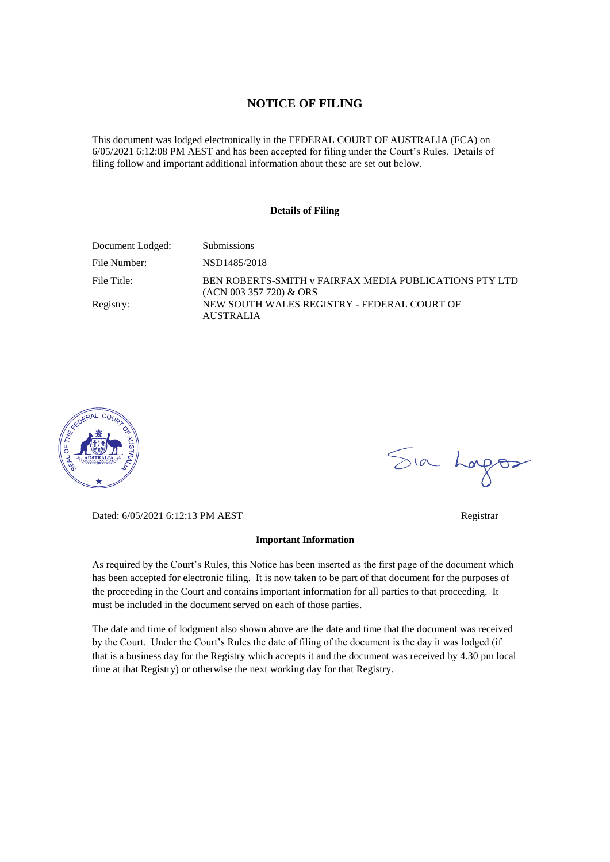### **NOTICE OF FILING**

This document was lodged electronically in the FEDERAL COURT OF AUSTRALIA (FCA) on 6/05/2021 6:12:08 PM AEST and has been accepted for filing under the Court's Rules. Details of filing follow and important additional information about these are set out below.

### **Details of Filing**

| Document Lodged: | <b>Submissions</b>                                                                  |
|------------------|-------------------------------------------------------------------------------------|
| File Number:     | NSD1485/2018                                                                        |
| File Title:      | BEN ROBERTS-SMITH v FAIRFAX MEDIA PUBLICATIONS PTY LTD<br>$(ACN 003 357 720)$ & ORS |
| Registry:        | NEW SOUTH WALES REGISTRY - FEDERAL COURT OF<br><b>AUSTRALIA</b>                     |



Sia Logos

Dated: 6/05/2021 6:12:13 PM AEST Registrar

#### **Important Information**

As required by the Court's Rules, this Notice has been inserted as the first page of the document which has been accepted for electronic filing. It is now taken to be part of that document for the purposes of the proceeding in the Court and contains important information for all parties to that proceeding. It must be included in the document served on each of those parties.

The date and time of lodgment also shown above are the date and time that the document was received by the Court. Under the Court's Rules the date of filing of the document is the day it was lodged (if that is a business day for the Registry which accepts it and the document was received by 4.30 pm local time at that Registry) or otherwise the next working day for that Registry.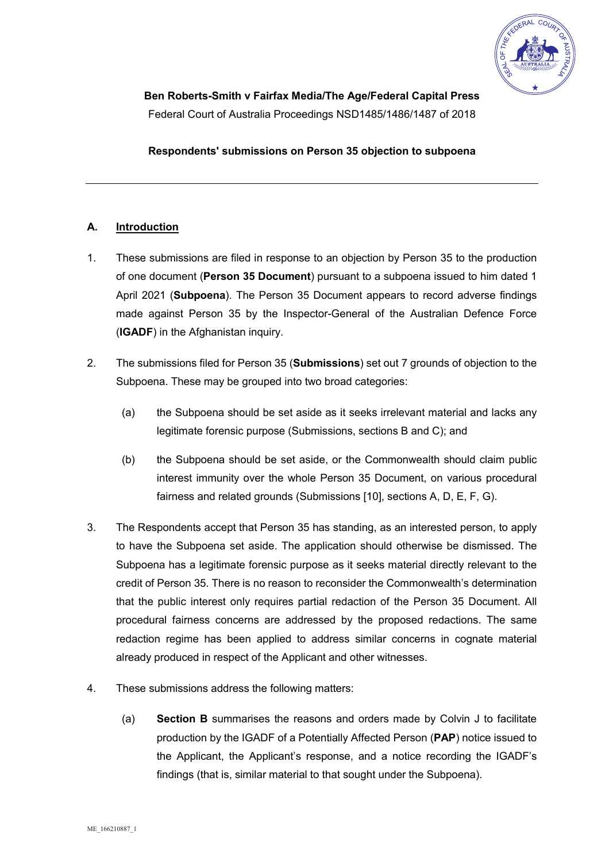

**Respondents' submissions on Person 35 objection to subpoena** 

# **A. Introduction**

- 1. These submissions are filed in response to an objection by Person 35 to the production of one document (**Person 35 Document**) pursuant to a subpoena issued to him dated 1 April 2021 (**Subpoena**). The Person 35 Document appears to record adverse findings made against Person 35 by the Inspector-General of the Australian Defence Force (**IGADF**) in the Afghanistan inquiry.
- 2. The submissions filed for Person 35 (**Submissions**) set out 7 grounds of objection to the Subpoena. These may be grouped into two broad categories:
	- (a) the Subpoena should be set aside as it seeks irrelevant material and lacks any legitimate forensic purpose (Submissions, sections B and C); and
	- (b) the Subpoena should be set aside, or the Commonwealth should claim public interest immunity over the whole Person 35 Document, on various procedural fairness and related grounds (Submissions [10], sections A, D, E, F, G).
- 3. The Respondents accept that Person 35 has standing, as an interested person, to apply to have the Subpoena set aside. The application should otherwise be dismissed. The Subpoena has a legitimate forensic purpose as it seeks material directly relevant to the credit of Person 35. There is no reason to reconsider the Commonwealth's determination that the public interest only requires partial redaction of the Person 35 Document. All procedural fairness concerns are addressed by the proposed redactions. The same redaction regime has been applied to address similar concerns in cognate material already produced in respect of the Applicant and other witnesses.
- 4. These submissions address the following matters:
	- (a) **Section B** summarises the reasons and orders made by Colvin J to facilitate production by the IGADF of a Potentially Affected Person (**PAP**) notice issued to the Applicant, the Applicant's response, and a notice recording the IGADF's findings (that is, similar material to that sought under the Subpoena).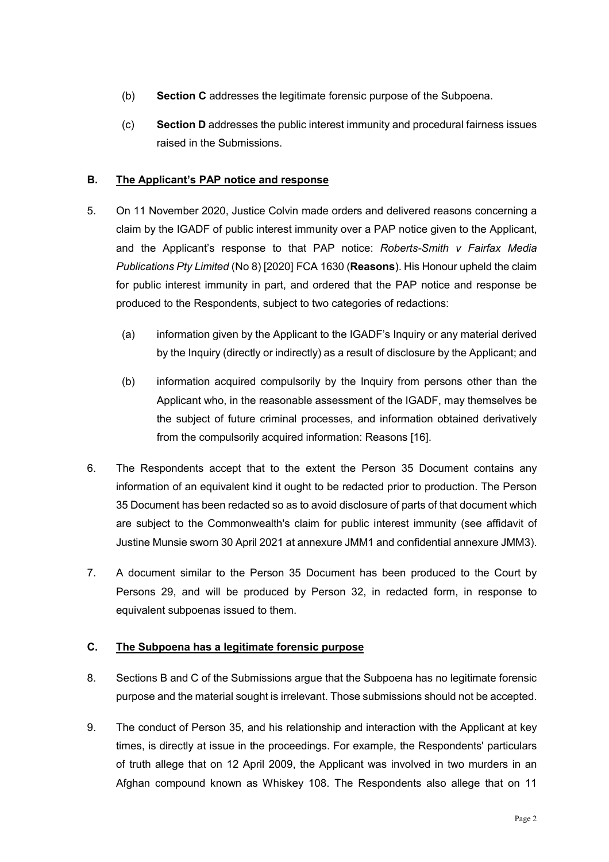- (b) **Section C** addresses the legitimate forensic purpose of the Subpoena.
- (c) **Section D** addresses the public interest immunity and procedural fairness issues raised in the Submissions.

## **B. The Applicant's PAP notice and response**

- 5. On 11 November 2020, Justice Colvin made orders and delivered reasons concerning a claim by the IGADF of public interest immunity over a PAP notice given to the Applicant, and the Applicant's response to that PAP notice: *Roberts-Smith v Fairfax Media Publications Pty Limited* (No 8) [2020] FCA 1630 (**Reasons**). His Honour upheld the claim for public interest immunity in part, and ordered that the PAP notice and response be produced to the Respondents, subject to two categories of redactions:
	- (a) information given by the Applicant to the IGADF's Inquiry or any material derived by the Inquiry (directly or indirectly) as a result of disclosure by the Applicant; and
	- (b) information acquired compulsorily by the Inquiry from persons other than the Applicant who, in the reasonable assessment of the IGADF, may themselves be the subject of future criminal processes, and information obtained derivatively from the compulsorily acquired information: Reasons [16].
- 6. The Respondents accept that to the extent the Person 35 Document contains any information of an equivalent kind it ought to be redacted prior to production. The Person 35 Document has been redacted so as to avoid disclosure of parts of that document which are subject to the Commonwealth's claim for public interest immunity (see affidavit of Justine Munsie sworn 30 April 2021 at annexure JMM1 and confidential annexure JMM3).
- 7. A document similar to the Person 35 Document has been produced to the Court by Persons 29, and will be produced by Person 32, in redacted form, in response to equivalent subpoenas issued to them.

# **C. The Subpoena has a legitimate forensic purpose**

- 8. Sections B and C of the Submissions argue that the Subpoena has no legitimate forensic purpose and the material sought is irrelevant. Those submissions should not be accepted.
- 9. The conduct of Person 35, and his relationship and interaction with the Applicant at key times, is directly at issue in the proceedings. For example, the Respondents' particulars of truth allege that on 12 April 2009, the Applicant was involved in two murders in an Afghan compound known as Whiskey 108. The Respondents also allege that on 11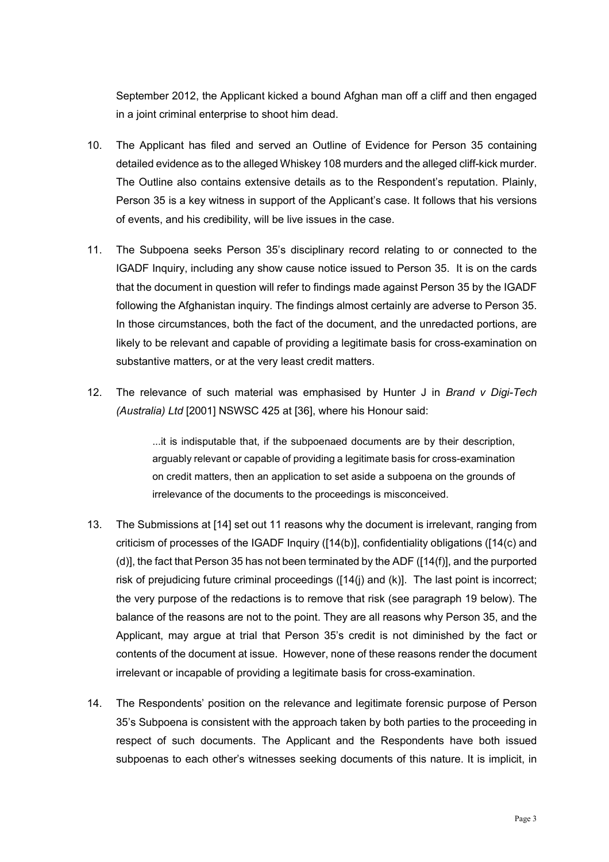September 2012, the Applicant kicked a bound Afghan man off a cliff and then engaged in a joint criminal enterprise to shoot him dead.

- 10. The Applicant has filed and served an Outline of Evidence for Person 35 containing detailed evidence as to the alleged Whiskey 108 murders and the alleged cliff-kick murder. The Outline also contains extensive details as to the Respondent's reputation. Plainly, Person 35 is a key witness in support of the Applicant's case. It follows that his versions of events, and his credibility, will be live issues in the case.
- 11. The Subpoena seeks Person 35's disciplinary record relating to or connected to the IGADF Inquiry, including any show cause notice issued to Person 35. It is on the cards that the document in question will refer to findings made against Person 35 by the IGADF following the Afghanistan inquiry. The findings almost certainly are adverse to Person 35. In those circumstances, both the fact of the document, and the unredacted portions, are likely to be relevant and capable of providing a legitimate basis for cross-examination on substantive matters, or at the very least credit matters.
- 12. The relevance of such material was emphasised by Hunter J in *Brand v Digi-Tech (Australia) Ltd* [2001] NSWSC 425 at [36], where his Honour said:

...it is indisputable that, if the subpoenaed documents are by their description, arguably relevant or capable of providing a legitimate basis for cross-examination on credit matters, then an application to set aside a subpoena on the grounds of irrelevance of the documents to the proceedings is misconceived.

- 13. The Submissions at [14] set out 11 reasons why the document is irrelevant, ranging from criticism of processes of the IGADF Inquiry ([14(b)], confidentiality obligations ([14(c) and (d)], the fact that Person 35 has not been terminated by the ADF ([14(f)], and the purported risk of prejudicing future criminal proceedings ([14(j) and (k)]. The last point is incorrect; the very purpose of the redactions is to remove that risk (see paragraph 19 below). The balance of the reasons are not to the point. They are all reasons why Person 35, and the Applicant, may argue at trial that Person 35's credit is not diminished by the fact or contents of the document at issue. However, none of these reasons render the document irrelevant or incapable of providing a legitimate basis for cross-examination.
- 14. The Respondents' position on the relevance and legitimate forensic purpose of Person 35's Subpoena is consistent with the approach taken by both parties to the proceeding in respect of such documents. The Applicant and the Respondents have both issued subpoenas to each other's witnesses seeking documents of this nature. It is implicit, in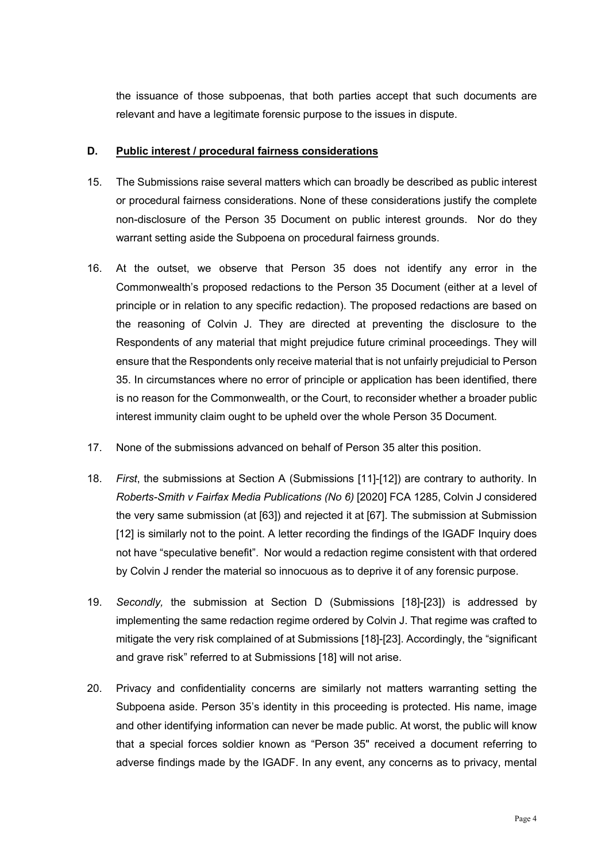the issuance of those subpoenas, that both parties accept that such documents are relevant and have a legitimate forensic purpose to the issues in dispute.

## **D. Public interest / procedural fairness considerations**

- 15. The Submissions raise several matters which can broadly be described as public interest or procedural fairness considerations. None of these considerations justify the complete non-disclosure of the Person 35 Document on public interest grounds. Nor do they warrant setting aside the Subpoena on procedural fairness grounds.
- 16. At the outset, we observe that Person 35 does not identify any error in the Commonwealth's proposed redactions to the Person 35 Document (either at a level of principle or in relation to any specific redaction). The proposed redactions are based on the reasoning of Colvin J. They are directed at preventing the disclosure to the Respondents of any material that might prejudice future criminal proceedings. They will ensure that the Respondents only receive material that is not unfairly prejudicial to Person 35. In circumstances where no error of principle or application has been identified, there is no reason for the Commonwealth, or the Court, to reconsider whether a broader public interest immunity claim ought to be upheld over the whole Person 35 Document.
- 17. None of the submissions advanced on behalf of Person 35 alter this position.
- 18. *First*, the submissions at Section A (Submissions [11]-[12]) are contrary to authority. In *Roberts-Smith v Fairfax Media Publications (No 6)* [2020] FCA 1285, Colvin J considered the very same submission (at [63]) and rejected it at [67]. The submission at Submission [12] is similarly not to the point. A letter recording the findings of the IGADF Inquiry does not have "speculative benefit". Nor would a redaction regime consistent with that ordered by Colvin J render the material so innocuous as to deprive it of any forensic purpose.
- 19. *Secondly,* the submission at Section D (Submissions [18]-[23]) is addressed by implementing the same redaction regime ordered by Colvin J. That regime was crafted to mitigate the very risk complained of at Submissions [18]-[23]. Accordingly, the "significant and grave risk" referred to at Submissions [18] will not arise.
- 20. Privacy and confidentiality concerns are similarly not matters warranting setting the Subpoena aside. Person 35's identity in this proceeding is protected. His name, image and other identifying information can never be made public. At worst, the public will know that a special forces soldier known as "Person 35" received a document referring to adverse findings made by the IGADF. In any event, any concerns as to privacy, mental